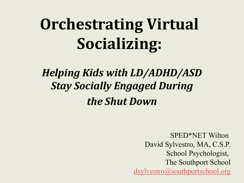## *Helping Kids with LD/ADHD/ASD Stay Socially Engaged During the Shut Down*

SPED\*NET Wilton David Sylvestro, MA, C.S.P. School Psychologist, The Southport School [dsylvestro@southportschool.org](mailto:dsylvestro@southportschool.org)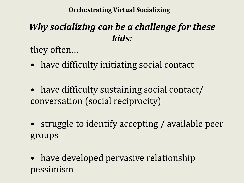### *Why socializing can be a challenge for these kids:*

they often…

- have difficulty initiating social contact
- have difficulty sustaining social contact/ conversation (social reciprocity)
- struggle to identify accepting / available peer groups
- have developed pervasive relationship pessimism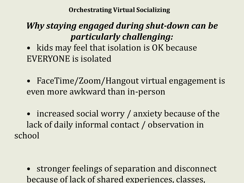#### *Why staying engaged during shut-down can be particularly challenging:*

- kids may feel that isolation is OK because EVERYONE is isolated
- FaceTime/Zoom/Hangout virtual engagement is even more awkward than in-person
- increased social worry / anxiety because of the lack of daily informal contact / observation in school

stronger feelings of separation and disconnect because of lack of shared experiences, classes,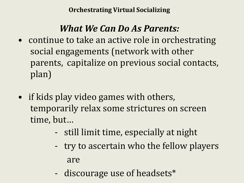#### *What We Can Do As Parents:*

- continue to take an active role in orchestrating social engagements (network with other parents, capitalize on previous social contacts, plan)
- if kids play video games with others, temporarily relax some strictures on screen time, but…
	- still limit time, especially at night
	- try to ascertain who the fellow players are
	- discourage use of headsets\*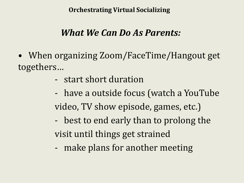#### *What We Can Do As Parents:*

- When organizing Zoom/FaceTime/Hangout get togethers…
	- start short duration
	- have a outside focus (watch a YouTube video, TV show episode, games, etc.) - best to end early than to prolong the
	- visit until things get strained
	- make plans for another meeting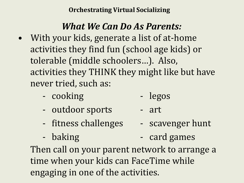#### *What We Can Do As Parents:*

- With your kids, generate a list of at-home activities they find fun (school age kids) or tolerable (middle schoolers…). Also, activities they THINK they might like but have never tried, such as:
	- cooking legos
	- outdoor sports art
	- fitness challenges scavenger hunt
- - baking card games

Then call on your parent network to arrange a time when your kids can FaceTime while engaging in one of the activities.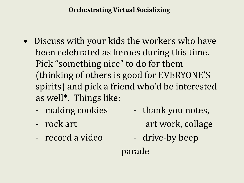- Discuss with your kids the workers who have been celebrated as heroes during this time. Pick "something nice" to do for them (thinking of others is good for EVERYONE'S spirits) and pick a friend who'd be interested as well\*. Things like:
	-
	-
	- record a video drive-by beep
	- making cookies thank you notes, - rock art art work, collage
		-

parade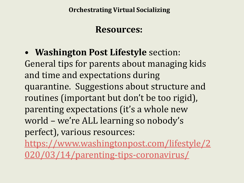#### **Resources:**

• **Washington Post Lifestyle** section:

General tips for parents about managing kids and time and expectations during quarantine. Suggestions about structure and routines (important but don't be too rigid), parenting expectations (it's a whole new world – we're ALL learning so nobody's perfect), various resources:

[https://www.washingtonpost.com/lifestyle/2](https://www.washingtonpost.com/lifestyle/2020/03/14/parenting-tips-coronavirus/) 020/03/14/parenting-tips-coronavirus/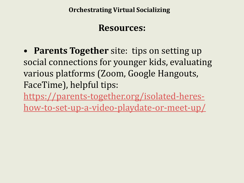#### **Resources:**

• **Parents Together** site: tips on setting up social connections for younger kids, evaluating various platforms (Zoom, Google Hangouts, FaceTime), helpful tips:

[https://parents-together.org/isolated-heres-](https://parents-together.org/isolated-heres-how-to-set-up-a-video-playdate-or-meet-up/)

how-to-set-up-a-video-playdate-or-meet-up/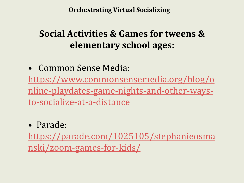#### **Social Activities & Games for tweens & elementary school ages:**

• Common Sense Media: [https://www.commonsensemedia.org/blog/o](https://www.commonsensemedia.org/blog/online-playdates-game-nights-and-other-ways-to-socialize-at-a-distance) nline-playdates-game-nights-and-other-waysto-socialize-at-a-distance

#### • Parade:

[https://parade.com/1025105/stephanieosma](https://parade.com/1025105/stephanieosmanski/zoom-games-for-kids/) nski/zoom-games-for-kids/